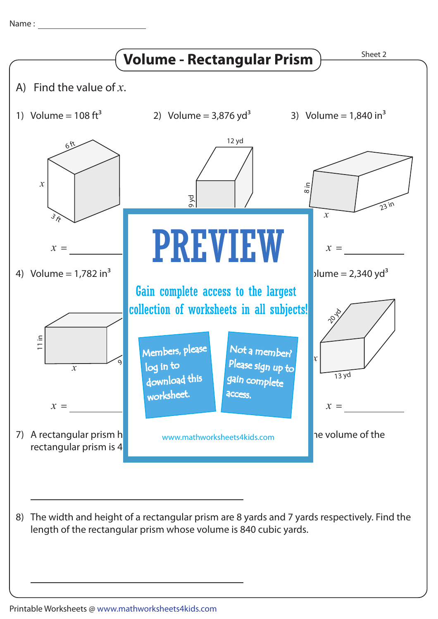Name :